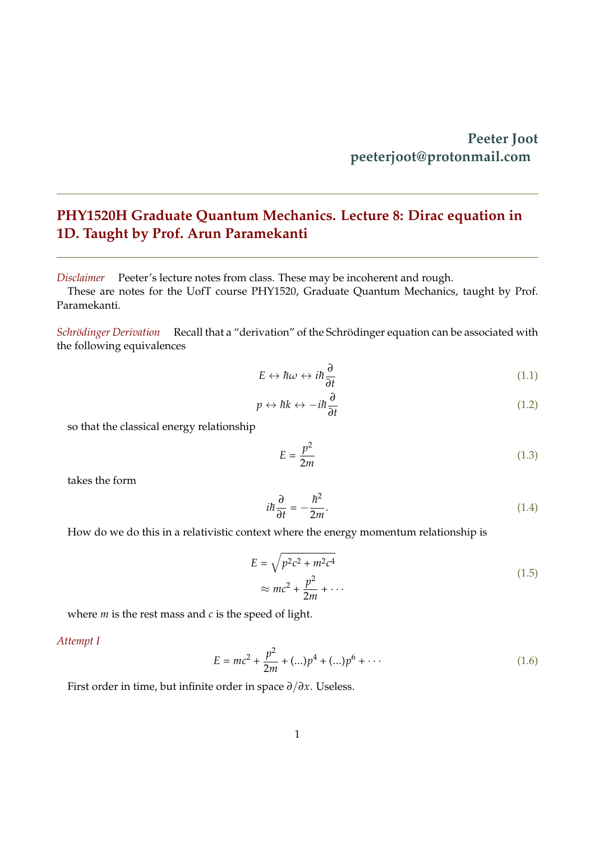## **PHY1520H Graduate Quantum Mechanics. Lecture 8: Dirac equation in 1D. Taught by Prof. Arun Paramekanti**

*Disclaimer* Peeter's lecture notes from class. These may be incoherent and rough.

These are notes for the UofT course PHY1520, Graduate Quantum Mechanics, taught by Prof. Paramekanti.

*Schrödinger Derivation* Recall that a "derivation" of the Schrödinger equation can be associated with the following equivalences

$$
E \leftrightarrow \hbar \omega \leftrightarrow i\hbar \frac{\partial}{\partial t} \tag{1.1}
$$

<span id="page-0-0"></span>
$$
p \leftrightarrow \hbar k \leftrightarrow -i\hbar \frac{\partial}{\partial t} \tag{1.2}
$$

so that the classical energy relationship

$$
E = \frac{p^2}{2m} \tag{1.3}
$$

takes the form

$$
i\hbar\frac{\partial}{\partial t} = -\frac{\hbar^2}{2m}.\tag{1.4}
$$

How do we do this in a relativistic context where the energy momentum relationship is

$$
E = \sqrt{p^2 c^2 + m^2 c^4}
$$
  
\n
$$
\approx mc^2 + \frac{p^2}{2m} + \cdots
$$
\n(1.5)

where *m* is the rest mass and *c* is the speed of light.

## *Attempt I*

$$
E = mc^{2} + \frac{p^{2}}{2m} + (\ldots)p^{4} + (\ldots)p^{6} + \cdots
$$
 (1.6)

First order in time, but infinite order in space *∂*/*∂x*. Useless.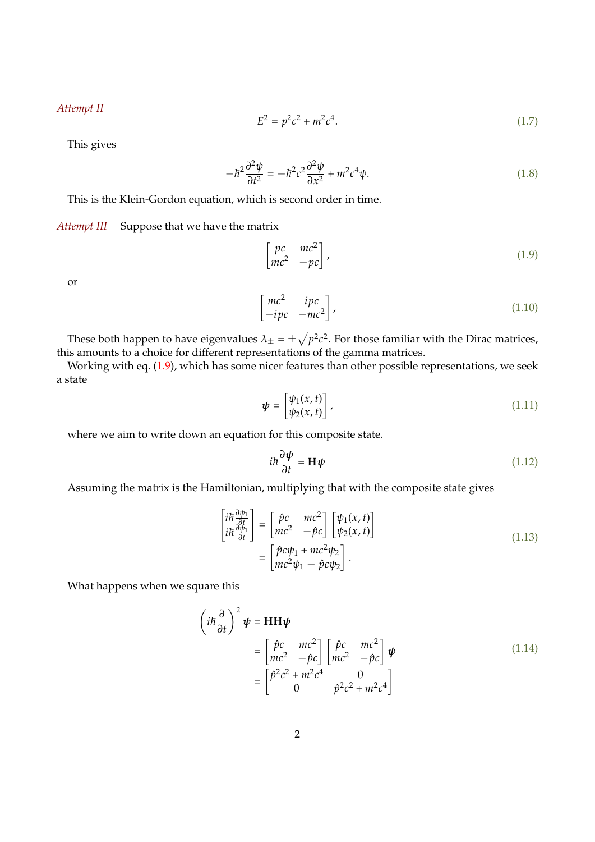*Attempt II*

$$
E^2 = p^2c^2 + m^2c^4.
$$
 (1.7)

This gives

$$
-\hbar^2 \frac{\partial^2 \psi}{\partial t^2} = -\hbar^2 c^2 \frac{\partial^2 \psi}{\partial x^2} + m^2 c^4 \psi.
$$
 (1.8)

This is the Klein-Gordon equation, which is second order in time.

*Attempt III* Suppose that we have the matrix

$$
\begin{bmatrix} pc & mc^2 \\ mc^2 & -pc \end{bmatrix}, \tag{1.9}
$$

or

$$
\begin{bmatrix} mc^2 & ipc \\ -ipc & -mc^2 \end{bmatrix}, \tag{1.10}
$$

These both happen to have eigenvalues  $\lambda_{\pm} = \pm \sqrt{p^2 c^2}$ . For those familiar with the Dirac matrices, this amounts to a choice for different representations of the gamma matrices.

Working with eq. [\(1.9\)](#page-0-0), which has some nicer features than other possible representations, we seek a state

$$
\boldsymbol{\psi} = \begin{bmatrix} \psi_1(x,t) \\ \psi_2(x,t) \end{bmatrix}, \tag{1.11}
$$

where we aim to write down an equation for this composite state.

$$
i\hbar \frac{\partial \psi}{\partial t} = \mathbf{H}\psi \tag{1.12}
$$

Assuming the matrix is the Hamiltonian, multiplying that with the composite state gives

$$
\begin{aligned}\n\begin{bmatrix}\ni\hbar\frac{\partial\psi_{1}}{\partial t} \\
i\hbar\frac{\partial\psi_{1}}{\partial t}\n\end{bmatrix} &= \begin{bmatrix}\n\hat{p}c & mc^{2} \\
mc^{2} & -\hat{p}c\n\end{bmatrix} \begin{bmatrix}\n\psi_{1}(x,t) \\
\psi_{2}(x,t)\n\end{bmatrix} \\
&= \begin{bmatrix}\n\hat{p}c\psi_{1} + mc^{2}\psi_{2} \\
mc^{2}\psi_{1} - \hat{p}c\psi_{2}\n\end{bmatrix}.\n\end{aligned} \tag{1.13}
$$

What happens when we square this

$$
\left(i\hbar\frac{\partial}{\partial t}\right)^2 \boldsymbol{\psi} = \mathbf{H} \mathbf{H} \boldsymbol{\psi}
$$
  
= 
$$
\begin{bmatrix} \hat{p}c & mc^2 \\ mc^2 & -\hat{p}c \end{bmatrix} \begin{bmatrix} \hat{p}c & mc^2 \\ mc^2 & -\hat{p}c \end{bmatrix} \boldsymbol{\psi}
$$
  
= 
$$
\begin{bmatrix} \hat{p}^2c^2 + m^2c^4 & 0 \\ 0 & \hat{p}^2c^2 + m^2c^4 \end{bmatrix}
$$
 (1.14)